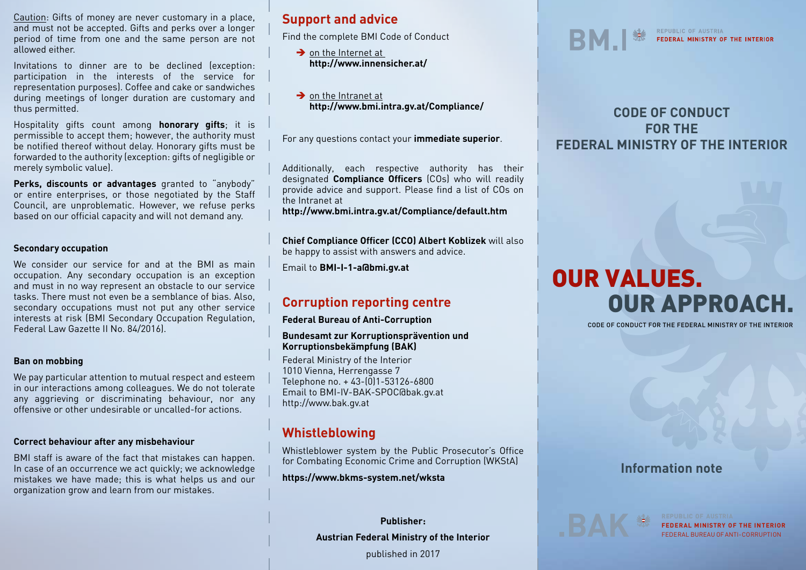Caution: Gifts of money are never customary in a place, and must not be accepted. Gifts and perks over a longer period of time from one and the same person are not allowed either.

Invitations to dinner are to be declined (exception: participation in the interests of the service for representation purposes). Coffee and cake or sandwiches during meetings of longer duration are customary and thus permitted.

Hospitality gifts count among **honorary gifts**; it is permissible to accept them; however, the authority must be notified thereof without delay. Honorary gifts must be forwarded to the authority (exception: gifts of negligible or merely symbolic value).

**Perks, discounts or advantages** granted to "anybody" or entire enterprises, or those negotiated by the Staff Council, are unproblematic. However, we refuse perks based on our official capacity and will not demand any.

#### **Secondary occupation**

We consider our service for and at the BMI as main occupation. Any secondary occupation is an exception and must in no way represent an obstacle to our service tasks. There must not even be a semblance of bias. Also, secondary occupations must not put any other service interests at risk (BMI Secondary Occupation Regulation, Federal Law Gazette II No. 84/2016).

#### **Ban on mobbing**

We pay particular attention to mutual respect and esteem in our interactions among colleagues. We do not tolerate any aggrieving or discriminating behaviour, nor any offensive or other undesirable or uncalled-for actions.

#### **Correct behaviour after any misbehaviour**

BMI staff is aware of the fact that mistakes can happen. In case of an occurrence we act quickly; we acknowledge mistakes we have made; this is what helps us and our organization grow and learn from our mistakes.

## **Support and advice**

Find the complete BMI Code of Conduct

 $\rightarrow$  on the Internet at **http://www.innensicher.at/**

 $\rightarrow$  on the Intranet at **http://www.bmi.intra.gv.at/Compliance/**

For any questions contact your **immediate superior**.

Additionally, each respective authority has their designated **Compliance Officers** (COs) who will readily provide advice and support. Please find a list of COs on the Intranet at

**http://www.bmi.intra.gv.at/Compliance/default.htm**

**Chief Compliance Officer (CCO) Albert Koblizek** will also be happy to assist with answers and advice.

Email to **BMI-I-1-a@bmi.gv.at**

# **Corruption reporting centre**

**Federal Bureau of Anti-Corruption**

#### **Bundesamt zur Korruptionsprävention und Korruptionsbekämpfung (BAK)**

Federal Ministry of the Interior 1010 Vienna, Herrengasse 7 Telephone no. + 43-(0)1-53126-6800 Email to BMI-IV-BAK-SPOC@bak.gv.at http://www.bak.gv.at

# **Whistleblowing**

Whistleblower system by the Public Prosecutor's Office for Combating Economic Crime and Corruption (WKStA)

#### **https://www.bkms-system.net/wksta**

**Publisher: Austrian Federal Ministry of the Interior** published in 2017



# **CODE OF CONDUCT FOR THE FEDERAL MINISTRY OF THE INTERIOR**

# OUR VALUES. OUR APPROACH.

CODE OF CONDUCT FOR THE FEDERAL MINISTRY OF THE INTERIOR

## **Information note**

**REPUBLIC OF AUSTRIA**<br>**FEDERAL MINISTRY O**<br>FEDERAL BUREAU OF AN **FEDERAL MINISTRY OF THE INTERIOR** FEDERAL BUREAU OF ANTI-CORRUPTION